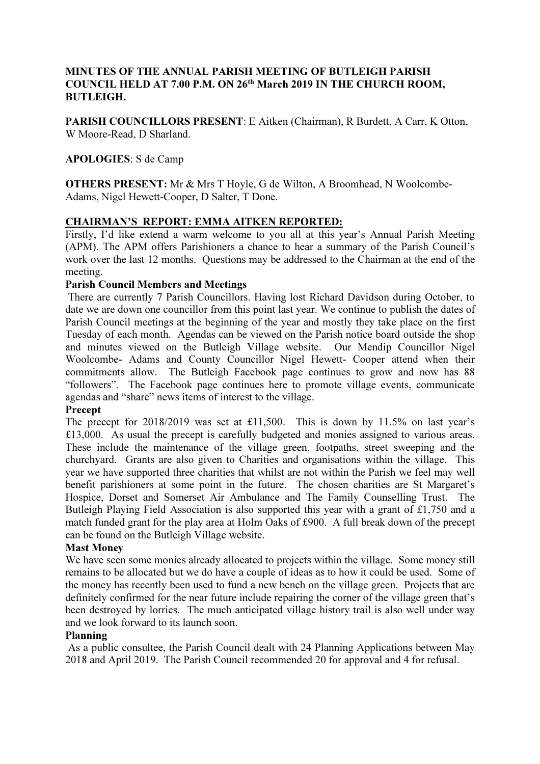# MINUTES OF THE ANNUAL PARISH MEETING OF BUTLEIGH PARISH COUNCIL HELD AT 7.00 P.M. ON 26th March 2019 IN THE CHURCH ROOM, BUTLEIGH.

PARISH COUNCILLORS PRESENT: E Aitken (Chairman), R Burdett, A Carr, K Otton, W Moore-Read, D Sharland.

### APOLOGIES: S de Camp

OTHERS PRESENT: Mr & Mrs T Hoyle, G de Wilton, A Broomhead, N Woolcombe-Adams, Nigel Hewett-Cooper, D Salter, T Done.

### CHAIRMAN'S REPORT: EMMA AITKEN REPORTED:

Firstly, I'd like extend a warm welcome to you all at this year's Annual Parish Meeting (APM). The APM offers Parishioners a chance to hear a summary of the Parish Council's work over the last 12 months. Questions may be addressed to the Chairman at the end of the meeting.

### Parish Council Members and Meetings

 There are currently 7 Parish Councillors. Having lost Richard Davidson during October, to date we are down one councillor from this point last year. We continue to publish the dates of Parish Council meetings at the beginning of the year and mostly they take place on the first Tuesday of each month. Agendas can be viewed on the Parish notice board outside the shop and minutes viewed on the Butleigh Village website. Our Mendip Councillor Nigel Woolcombe- Adams and County Councillor Nigel Hewett- Cooper attend when their commitments allow. The Butleigh Facebook page continues to grow and now has 88 "followers". The Facebook page continues here to promote village events, communicate agendas and "share" news items of interest to the village.

### Precept

The precept for 2018/2019 was set at £11,500. This is down by 11.5% on last year's £13,000. As usual the precept is carefully budgeted and monies assigned to various areas. These include the maintenance of the village green, footpaths, street sweeping and the churchyard. Grants are also given to Charities and organisations within the village. This year we have supported three charities that whilst are not within the Parish we feel may well benefit parishioners at some point in the future. The chosen charities are St Margaret's Hospice, Dorset and Somerset Air Ambulance and The Family Counselling Trust. The Butleigh Playing Field Association is also supported this year with a grant of £1,750 and a match funded grant for the play area at Holm Oaks of £900. A full break down of the precept can be found on the Butleigh Village website.

#### Mast Money

We have seen some monies already allocated to projects within the village. Some money still remains to be allocated but we do have a couple of ideas as to how it could be used. Some of the money has recently been used to fund a new bench on the village green. Projects that are definitely confirmed for the near future include repairing the corner of the village green that's been destroyed by lorries. The much anticipated village history trail is also well under way and we look forward to its launch soon.

#### Planning

 As a public consultee, the Parish Council dealt with 24 Planning Applications between May 2018 and April 2019. The Parish Council recommended 20 for approval and 4 for refusal.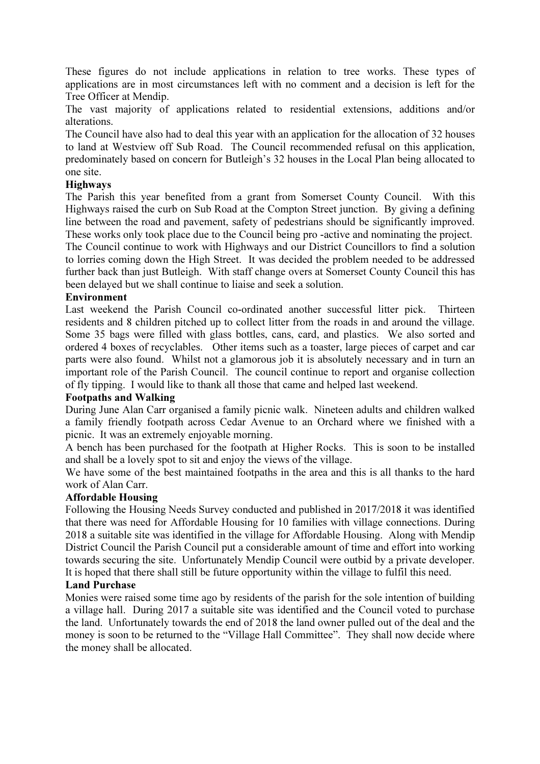These figures do not include applications in relation to tree works. These types of applications are in most circumstances left with no comment and a decision is left for the Tree Officer at Mendip.

The vast majority of applications related to residential extensions, additions and/or alterations.

The Council have also had to deal this year with an application for the allocation of 32 houses to land at Westview off Sub Road. The Council recommended refusal on this application, predominately based on concern for Butleigh's 32 houses in the Local Plan being allocated to one site.

## **Highways**

The Parish this year benefited from a grant from Somerset County Council. With this Highways raised the curb on Sub Road at the Compton Street junction. By giving a defining line between the road and pavement, safety of pedestrians should be significantly improved. These works only took place due to the Council being pro -active and nominating the project.

The Council continue to work with Highways and our District Councillors to find a solution to lorries coming down the High Street. It was decided the problem needed to be addressed further back than just Butleigh. With staff change overs at Somerset County Council this has been delayed but we shall continue to liaise and seek a solution.

### Environment

Last weekend the Parish Council co-ordinated another successful litter pick. Thirteen residents and 8 children pitched up to collect litter from the roads in and around the village. Some 35 bags were filled with glass bottles, cans, card, and plastics. We also sorted and ordered 4 boxes of recyclables. Other items such as a toaster, large pieces of carpet and car parts were also found. Whilst not a glamorous job it is absolutely necessary and in turn an important role of the Parish Council. The council continue to report and organise collection of fly tipping. I would like to thank all those that came and helped last weekend.

### Footpaths and Walking

During June Alan Carr organised a family picnic walk. Nineteen adults and children walked a family friendly footpath across Cedar Avenue to an Orchard where we finished with a picnic. It was an extremely enjoyable morning.

A bench has been purchased for the footpath at Higher Rocks. This is soon to be installed and shall be a lovely spot to sit and enjoy the views of the village.

We have some of the best maintained footpaths in the area and this is all thanks to the hard work of Alan Carr.

### Affordable Housing

Following the Housing Needs Survey conducted and published in 2017/2018 it was identified that there was need for Affordable Housing for 10 families with village connections. During 2018 a suitable site was identified in the village for Affordable Housing. Along with Mendip District Council the Parish Council put a considerable amount of time and effort into working towards securing the site. Unfortunately Mendip Council were outbid by a private developer. It is hoped that there shall still be future opportunity within the village to fulfil this need.

### Land Purchase

Monies were raised some time ago by residents of the parish for the sole intention of building a village hall. During 2017 a suitable site was identified and the Council voted to purchase the land. Unfortunately towards the end of 2018 the land owner pulled out of the deal and the money is soon to be returned to the "Village Hall Committee". They shall now decide where the money shall be allocated.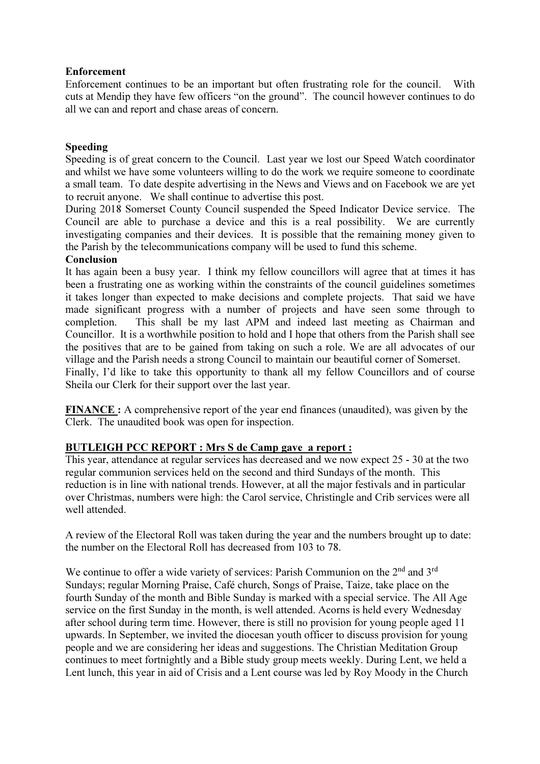# Enforcement

Enforcement continues to be an important but often frustrating role for the council. With cuts at Mendip they have few officers "on the ground". The council however continues to do all we can and report and chase areas of concern.

## Speeding

Speeding is of great concern to the Council. Last year we lost our Speed Watch coordinator and whilst we have some volunteers willing to do the work we require someone to coordinate a small team. To date despite advertising in the News and Views and on Facebook we are yet to recruit anyone. We shall continue to advertise this post.

During 2018 Somerset County Council suspended the Speed Indicator Device service. The Council are able to purchase a device and this is a real possibility. We are currently investigating companies and their devices. It is possible that the remaining money given to the Parish by the telecommunications company will be used to fund this scheme.

## Conclusion

It has again been a busy year. I think my fellow councillors will agree that at times it has been a frustrating one as working within the constraints of the council guidelines sometimes it takes longer than expected to make decisions and complete projects. That said we have made significant progress with a number of projects and have seen some through to completion. This shall be my last APM and indeed last meeting as Chairman and Councillor. It is a worthwhile position to hold and I hope that others from the Parish shall see the positives that are to be gained from taking on such a role. We are all advocates of our village and the Parish needs a strong Council to maintain our beautiful corner of Somerset. Finally, I'd like to take this opportunity to thank all my fellow Councillors and of course Sheila our Clerk for their support over the last year.

FINANCE : A comprehensive report of the year end finances (unaudited), was given by the Clerk. The unaudited book was open for inspection.

# BUTLEIGH PCC REPORT : Mrs S de Camp gave a report :

This year, attendance at regular services has decreased and we now expect 25 - 30 at the two regular communion services held on the second and third Sundays of the month. This reduction is in line with national trends. However, at all the major festivals and in particular over Christmas, numbers were high: the Carol service, Christingle and Crib services were all well attended.

A review of the Electoral Roll was taken during the year and the numbers brought up to date: the number on the Electoral Roll has decreased from 103 to 78.

We continue to offer a wide variety of services: Parish Communion on the 2<sup>nd</sup> and 3<sup>rd</sup> Sundays; regular Morning Praise, Café church, Songs of Praise, Taize, take place on the fourth Sunday of the month and Bible Sunday is marked with a special service. The All Age service on the first Sunday in the month, is well attended. Acorns is held every Wednesday after school during term time. However, there is still no provision for young people aged 11 upwards. In September, we invited the diocesan youth officer to discuss provision for young people and we are considering her ideas and suggestions. The Christian Meditation Group continues to meet fortnightly and a Bible study group meets weekly. During Lent, we held a Lent lunch, this year in aid of Crisis and a Lent course was led by Roy Moody in the Church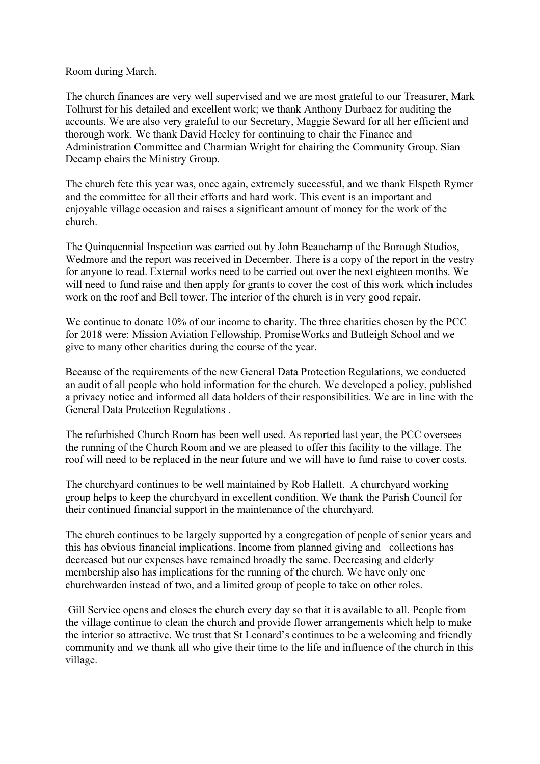#### Room during March.

The church finances are very well supervised and we are most grateful to our Treasurer, Mark Tolhurst for his detailed and excellent work; we thank Anthony Durbacz for auditing the accounts. We are also very grateful to our Secretary, Maggie Seward for all her efficient and thorough work. We thank David Heeley for continuing to chair the Finance and Administration Committee and Charmian Wright for chairing the Community Group. Sian Decamp chairs the Ministry Group.

The church fete this year was, once again, extremely successful, and we thank Elspeth Rymer and the committee for all their efforts and hard work. This event is an important and enjoyable village occasion and raises a significant amount of money for the work of the church.

The Quinquennial Inspection was carried out by John Beauchamp of the Borough Studios, Wedmore and the report was received in December. There is a copy of the report in the vestry for anyone to read. External works need to be carried out over the next eighteen months. We will need to fund raise and then apply for grants to cover the cost of this work which includes work on the roof and Bell tower. The interior of the church is in very good repair.

We continue to donate 10% of our income to charity. The three charities chosen by the PCC for 2018 were: Mission Aviation Fellowship, PromiseWorks and Butleigh School and we give to many other charities during the course of the year.

Because of the requirements of the new General Data Protection Regulations, we conducted an audit of all people who hold information for the church. We developed a policy, published a privacy notice and informed all data holders of their responsibilities. We are in line with the General Data Protection Regulations .

The refurbished Church Room has been well used. As reported last year, the PCC oversees the running of the Church Room and we are pleased to offer this facility to the village. The roof will need to be replaced in the near future and we will have to fund raise to cover costs.

The churchyard continues to be well maintained by Rob Hallett. A churchyard working group helps to keep the churchyard in excellent condition. We thank the Parish Council for their continued financial support in the maintenance of the churchyard.

The church continues to be largely supported by a congregation of people of senior years and this has obvious financial implications. Income from planned giving and collections has decreased but our expenses have remained broadly the same. Decreasing and elderly membership also has implications for the running of the church. We have only one churchwarden instead of two, and a limited group of people to take on other roles.

 Gill Service opens and closes the church every day so that it is available to all. People from the village continue to clean the church and provide flower arrangements which help to make the interior so attractive. We trust that St Leonard's continues to be a welcoming and friendly community and we thank all who give their time to the life and influence of the church in this village.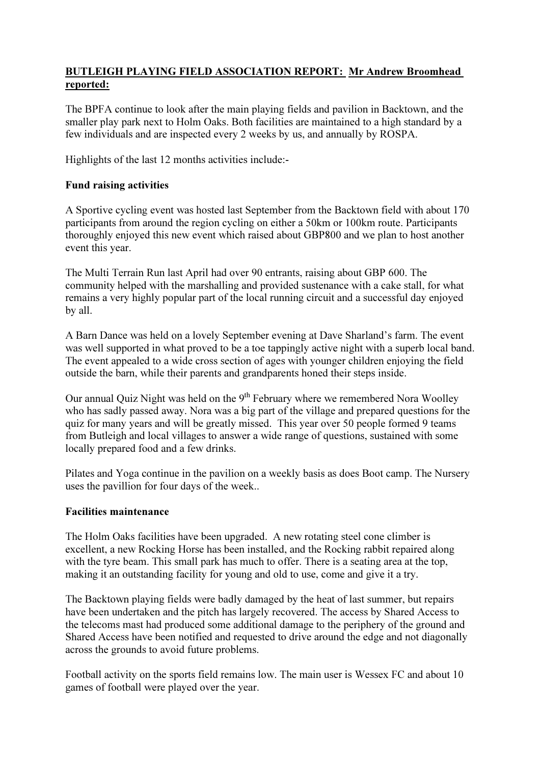# BUTLEIGH PLAYING FIELD ASSOCIATION REPORT: Mr Andrew Broomhead reported:

The BPFA continue to look after the main playing fields and pavilion in Backtown, and the smaller play park next to Holm Oaks. Both facilities are maintained to a high standard by a few individuals and are inspected every 2 weeks by us, and annually by ROSPA.

Highlights of the last 12 months activities include:-

# Fund raising activities

A Sportive cycling event was hosted last September from the Backtown field with about 170 participants from around the region cycling on either a 50km or 100km route. Participants thoroughly enjoyed this new event which raised about GBP800 and we plan to host another event this year.

The Multi Terrain Run last April had over 90 entrants, raising about GBP 600. The community helped with the marshalling and provided sustenance with a cake stall, for what remains a very highly popular part of the local running circuit and a successful day enjoyed by all.

A Barn Dance was held on a lovely September evening at Dave Sharland's farm. The event was well supported in what proved to be a toe tappingly active night with a superb local band. The event appealed to a wide cross section of ages with younger children enjoying the field outside the barn, while their parents and grandparents honed their steps inside.

Our annual Quiz Night was held on the 9<sup>th</sup> February where we remembered Nora Woolley who has sadly passed away. Nora was a big part of the village and prepared questions for the quiz for many years and will be greatly missed. This year over 50 people formed 9 teams from Butleigh and local villages to answer a wide range of questions, sustained with some locally prepared food and a few drinks.

Pilates and Yoga continue in the pavilion on a weekly basis as does Boot camp. The Nursery uses the pavillion for four days of the week..

# Facilities maintenance

The Holm Oaks facilities have been upgraded. A new rotating steel cone climber is excellent, a new Rocking Horse has been installed, and the Rocking rabbit repaired along with the tyre beam. This small park has much to offer. There is a seating area at the top, making it an outstanding facility for young and old to use, come and give it a try.

The Backtown playing fields were badly damaged by the heat of last summer, but repairs have been undertaken and the pitch has largely recovered. The access by Shared Access to the telecoms mast had produced some additional damage to the periphery of the ground and Shared Access have been notified and requested to drive around the edge and not diagonally across the grounds to avoid future problems.

Football activity on the sports field remains low. The main user is Wessex FC and about 10 games of football were played over the year.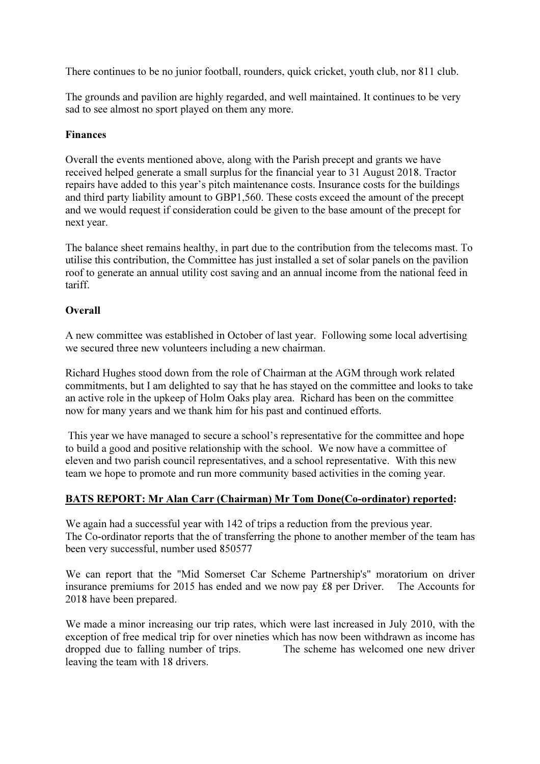There continues to be no junior football, rounders, quick cricket, youth club, nor 811 club.

The grounds and pavilion are highly regarded, and well maintained. It continues to be very sad to see almost no sport played on them any more.

# Finances

Overall the events mentioned above, along with the Parish precept and grants we have received helped generate a small surplus for the financial year to 31 August 2018. Tractor repairs have added to this year's pitch maintenance costs. Insurance costs for the buildings and third party liability amount to GBP1,560. These costs exceed the amount of the precept and we would request if consideration could be given to the base amount of the precept for next year.

The balance sheet remains healthy, in part due to the contribution from the telecoms mast. To utilise this contribution, the Committee has just installed a set of solar panels on the pavilion roof to generate an annual utility cost saving and an annual income from the national feed in tariff.

# **Overall**

A new committee was established in October of last year. Following some local advertising we secured three new volunteers including a new chairman.

Richard Hughes stood down from the role of Chairman at the AGM through work related commitments, but I am delighted to say that he has stayed on the committee and looks to take an active role in the upkeep of Holm Oaks play area. Richard has been on the committee now for many years and we thank him for his past and continued efforts.

 This year we have managed to secure a school's representative for the committee and hope to build a good and positive relationship with the school. We now have a committee of eleven and two parish council representatives, and a school representative. With this new team we hope to promote and run more community based activities in the coming year.

### BATS REPORT: Mr Alan Carr (Chairman) Mr Tom Done(Co-ordinator) reported:

We again had a successful year with 142 of trips a reduction from the previous year. The Co-ordinator reports that the of transferring the phone to another member of the team has been very successful, number used 850577

We can report that the "Mid Somerset Car Scheme Partnership's" moratorium on driver insurance premiums for 2015 has ended and we now pay £8 per Driver. The Accounts for 2018 have been prepared.

We made a minor increasing our trip rates, which were last increased in July 2010, with the exception of free medical trip for over nineties which has now been withdrawn as income has dropped due to falling number of trips. The scheme has welcomed one new driver leaving the team with 18 drivers.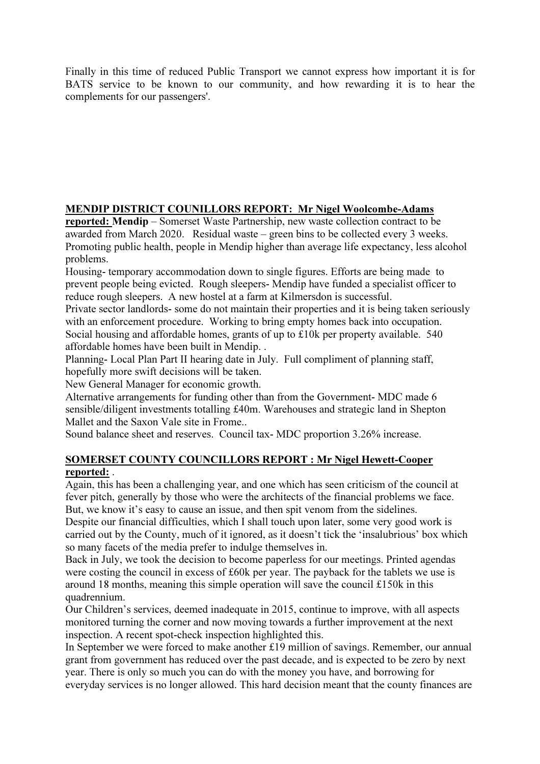Finally in this time of reduced Public Transport we cannot express how important it is for BATS service to be known to our community, and how rewarding it is to hear the complements for our passengers'.

# MENDIP DISTRICT COUNILLORS REPORT: Mr Nigel Woolcombe-Adams

reported: Mendip – Somerset Waste Partnership, new waste collection contract to be awarded from March 2020. Residual waste – green bins to be collected every 3 weeks. Promoting public health, people in Mendip higher than average life expectancy, less alcohol problems.

Housing- temporary accommodation down to single figures. Efforts are being made to prevent people being evicted. Rough sleepers- Mendip have funded a specialist officer to reduce rough sleepers. A new hostel at a farm at Kilmersdon is successful.

Private sector landlords- some do not maintain their properties and it is being taken seriously with an enforcement procedure. Working to bring empty homes back into occupation. Social housing and affordable homes, grants of up to £10k per property available. 540 affordable homes have been built in Mendip. .

Planning- Local Plan Part II hearing date in July. Full compliment of planning staff, hopefully more swift decisions will be taken.

New General Manager for economic growth.

Alternative arrangements for funding other than from the Government- MDC made 6 sensible/diligent investments totalling £40m. Warehouses and strategic land in Shepton Mallet and the Saxon Vale site in Frome..

Sound balance sheet and reserves. Council tax- MDC proportion 3.26% increase.

# SOMERSET COUNTY COUNCILLORS REPORT : Mr Nigel Hewett-Cooper reported: .

Again, this has been a challenging year, and one which has seen criticism of the council at fever pitch, generally by those who were the architects of the financial problems we face. But, we know it's easy to cause an issue, and then spit venom from the sidelines.

Despite our financial difficulties, which I shall touch upon later, some very good work is carried out by the County, much of it ignored, as it doesn't tick the 'insalubrious' box which so many facets of the media prefer to indulge themselves in.

Back in July, we took the decision to become paperless for our meetings. Printed agendas were costing the council in excess of £60k per year. The payback for the tablets we use is around 18 months, meaning this simple operation will save the council £150k in this quadrennium.

Our Children's services, deemed inadequate in 2015, continue to improve, with all aspects monitored turning the corner and now moving towards a further improvement at the next inspection. A recent spot-check inspection highlighted this.

In September we were forced to make another £19 million of savings. Remember, our annual grant from government has reduced over the past decade, and is expected to be zero by next year. There is only so much you can do with the money you have, and borrowing for everyday services is no longer allowed. This hard decision meant that the county finances are